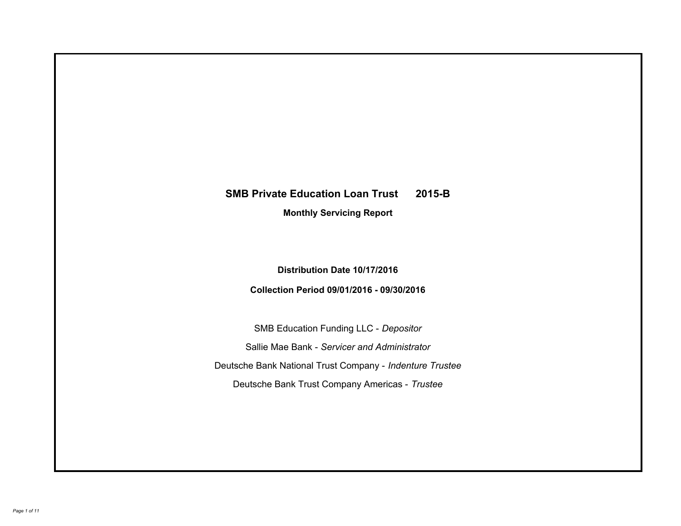# **SMB Private Education Loan Trust 2015-B Monthly Servicing Report**

## **Distribution Date 10/17/2016**

## **Collection Period 09/01/2016 - 09/30/2016**

SMB Education Funding LLC - *Depositor* Sallie Mae Bank - *Servicer and Administrator* Deutsche Bank National Trust Company - *Indenture Trustee* Deutsche Bank Trust Company Americas - *Trustee*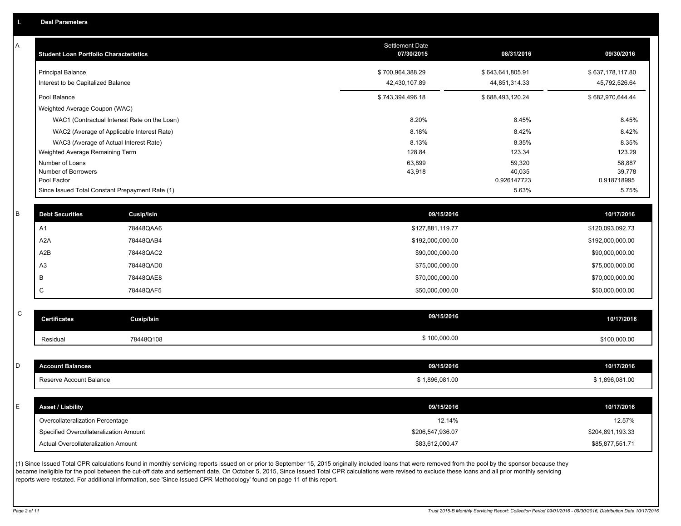A

| A | <b>Student Loan Portfolio Characteristics</b> |                                                 | <b>Settlement Date</b><br>07/30/2015 | 08/31/2016            | 09/30/2016            |
|---|-----------------------------------------------|-------------------------------------------------|--------------------------------------|-----------------------|-----------------------|
|   | <b>Principal Balance</b>                      |                                                 | \$700,964,388.29                     | \$643,641,805.91      | \$637,178,117.80      |
|   | Interest to be Capitalized Balance            |                                                 | 42,430,107.89                        | 44,851,314.33         | 45,792,526.64         |
|   | Pool Balance                                  |                                                 | \$743,394,496.18                     | \$688,493,120.24      | \$682,970,644.44      |
|   | Weighted Average Coupon (WAC)                 |                                                 |                                      |                       |                       |
|   |                                               | WAC1 (Contractual Interest Rate on the Loan)    | 8.20%                                | 8.45%                 | 8.45%                 |
|   |                                               | WAC2 (Average of Applicable Interest Rate)      | 8.18%                                | 8.42%                 | 8.42%                 |
|   |                                               | WAC3 (Average of Actual Interest Rate)          | 8.13%                                | 8.35%                 | 8.35%                 |
|   | Weighted Average Remaining Term               |                                                 | 128.84                               | 123.34                | 123.29                |
|   | Number of Loans                               |                                                 | 63,899                               | 59,320                | 58,887                |
|   | Number of Borrowers<br>Pool Factor            |                                                 | 43,918                               | 40,035<br>0.926147723 | 39,778<br>0.918718995 |
|   |                                               | Since Issued Total Constant Prepayment Rate (1) |                                      | 5.63%                 | 5.75%                 |
|   |                                               |                                                 |                                      |                       |                       |
| R | <b>Debt Securities</b>                        | <b>Cusip/Isin</b>                               | 09/15/2016                           |                       | 10/17/2016            |
|   | A <sub>1</sub>                                | 78448QAA6                                       | \$127,881,119.77                     |                       | \$120,093,092.73      |
|   | A <sub>2</sub> A                              | 78448QAB4                                       | \$192,000,000.00                     |                       | \$192,000,000.00      |
|   | A2B                                           | 78448QAC2                                       | \$90,000,000.00                      |                       | \$90,000,000.00       |
|   | A <sub>3</sub>                                | 78448QAD0                                       | \$75,000,000.00                      |                       | \$75,000,000.00       |
|   | B                                             | 78448QAE8                                       | \$70,000,000.00                      |                       | \$70,000,000.00       |
|   | C                                             | 78448QAF5                                       | \$50,000,000.00                      |                       | \$50,000,000.00       |
|   |                                               |                                                 |                                      |                       |                       |
| C | <b>Certificates</b>                           | Cusip/Isin                                      | 09/15/2016                           |                       | 10/17/2016            |
|   | Residual                                      | 78448Q108                                       | \$100,000.00                         |                       | \$100,000.00          |
|   |                                               |                                                 |                                      |                       |                       |
| D | <b>Account Balances</b>                       |                                                 | 09/15/2016                           |                       | 10/17/2016            |
|   | Reserve Account Balance                       |                                                 | \$1,896,081.00                       |                       | \$1,896,081.00        |
|   |                                               |                                                 |                                      |                       |                       |
| F | <b>Asset / Liability</b>                      |                                                 | 09/15/2016                           |                       | 10/17/2016            |
|   | Overcollateralization Percentage              |                                                 | 12.14%                               |                       | 12.57%                |
|   | Specified Overcollateralization Amount        |                                                 | \$206,547,936.07                     |                       | \$204,891,193.33      |
|   | Actual Overcollateralization Amount           |                                                 | \$83,612,000.47                      |                       | \$85,877,551.71       |

(1) Since Issued Total CPR calculations found in monthly servicing reports issued on or prior to September 15, 2015 originally included loans that were removed from the pool by the sponsor because they became ineligible for the pool between the cut-off date and settlement date. On October 5, 2015, Since Issued Total CPR calculations were revised to exclude these loans and all prior monthly servicing reports were restated. For additional information, see 'Since Issued CPR Methodology' found on page 11 of this report.

C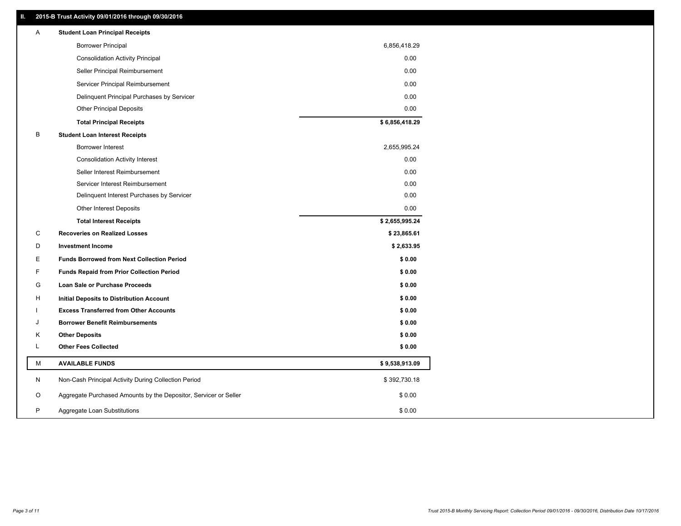### **II. 2015-B Trust Activity 09/01/2016 through 09/30/2016**

| <b>Borrower Principal</b><br>6,856,418.29<br>0.00<br><b>Consolidation Activity Principal</b><br>0.00<br>Seller Principal Reimbursement<br>0.00<br>Servicer Principal Reimbursement<br>0.00<br>Delinquent Principal Purchases by Servicer<br>0.00<br><b>Other Principal Deposits</b><br>\$6,856,418.29<br><b>Total Principal Receipts</b><br>B<br><b>Student Loan Interest Receipts</b><br><b>Borrower Interest</b><br>2,655,995.24<br>0.00<br><b>Consolidation Activity Interest</b> |  |
|--------------------------------------------------------------------------------------------------------------------------------------------------------------------------------------------------------------------------------------------------------------------------------------------------------------------------------------------------------------------------------------------------------------------------------------------------------------------------------------|--|
|                                                                                                                                                                                                                                                                                                                                                                                                                                                                                      |  |
|                                                                                                                                                                                                                                                                                                                                                                                                                                                                                      |  |
|                                                                                                                                                                                                                                                                                                                                                                                                                                                                                      |  |
|                                                                                                                                                                                                                                                                                                                                                                                                                                                                                      |  |
|                                                                                                                                                                                                                                                                                                                                                                                                                                                                                      |  |
|                                                                                                                                                                                                                                                                                                                                                                                                                                                                                      |  |
|                                                                                                                                                                                                                                                                                                                                                                                                                                                                                      |  |
|                                                                                                                                                                                                                                                                                                                                                                                                                                                                                      |  |
|                                                                                                                                                                                                                                                                                                                                                                                                                                                                                      |  |
|                                                                                                                                                                                                                                                                                                                                                                                                                                                                                      |  |
| 0.00<br>Seller Interest Reimbursement                                                                                                                                                                                                                                                                                                                                                                                                                                                |  |
| 0.00<br>Servicer Interest Reimbursement                                                                                                                                                                                                                                                                                                                                                                                                                                              |  |
| 0.00<br>Delinquent Interest Purchases by Servicer                                                                                                                                                                                                                                                                                                                                                                                                                                    |  |
| 0.00<br><b>Other Interest Deposits</b>                                                                                                                                                                                                                                                                                                                                                                                                                                               |  |
| \$2,655,995.24<br><b>Total Interest Receipts</b>                                                                                                                                                                                                                                                                                                                                                                                                                                     |  |
| C<br><b>Recoveries on Realized Losses</b><br>\$23,865.61                                                                                                                                                                                                                                                                                                                                                                                                                             |  |
| D<br><b>Investment Income</b><br>\$2,633.95                                                                                                                                                                                                                                                                                                                                                                                                                                          |  |
| Ε<br><b>Funds Borrowed from Next Collection Period</b><br>\$0.00                                                                                                                                                                                                                                                                                                                                                                                                                     |  |
| F<br>\$0.00<br><b>Funds Repaid from Prior Collection Period</b>                                                                                                                                                                                                                                                                                                                                                                                                                      |  |
| G<br><b>Loan Sale or Purchase Proceeds</b><br>\$0.00                                                                                                                                                                                                                                                                                                                                                                                                                                 |  |
| \$0.00<br>H<br>Initial Deposits to Distribution Account                                                                                                                                                                                                                                                                                                                                                                                                                              |  |
| \$0.00<br><b>Excess Transferred from Other Accounts</b>                                                                                                                                                                                                                                                                                                                                                                                                                              |  |
| J<br><b>Borrower Benefit Reimbursements</b><br>\$0.00                                                                                                                                                                                                                                                                                                                                                                                                                                |  |
| <b>Other Deposits</b><br>\$0.00<br>Κ                                                                                                                                                                                                                                                                                                                                                                                                                                                 |  |
| L<br><b>Other Fees Collected</b><br>\$0.00                                                                                                                                                                                                                                                                                                                                                                                                                                           |  |
| М<br><b>AVAILABLE FUNDS</b><br>\$9,538,913.09                                                                                                                                                                                                                                                                                                                                                                                                                                        |  |
| Non-Cash Principal Activity During Collection Period<br>N<br>\$392,730.18                                                                                                                                                                                                                                                                                                                                                                                                            |  |
| O<br>Aggregate Purchased Amounts by the Depositor, Servicer or Seller<br>\$0.00                                                                                                                                                                                                                                                                                                                                                                                                      |  |
| P<br>\$0.00<br>Aggregate Loan Substitutions                                                                                                                                                                                                                                                                                                                                                                                                                                          |  |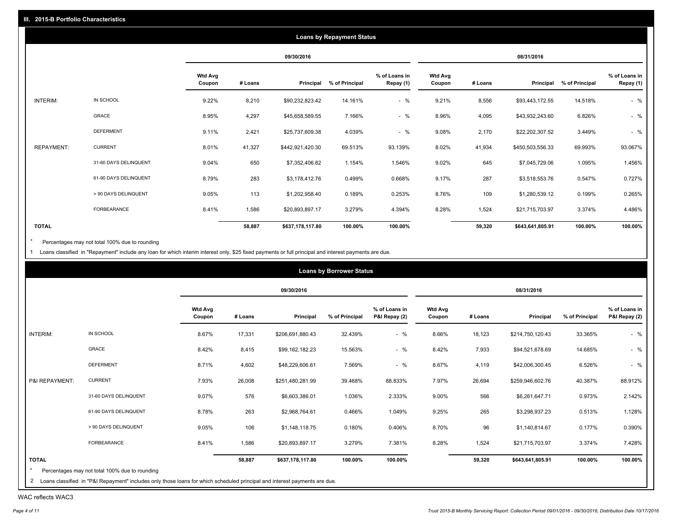|                   |                       |                          |         |                  | <b>Loans by Repayment Status</b> |                            |                          |         |                  |                |                            |
|-------------------|-----------------------|--------------------------|---------|------------------|----------------------------------|----------------------------|--------------------------|---------|------------------|----------------|----------------------------|
|                   |                       |                          |         | 09/30/2016       |                                  |                            |                          |         | 08/31/2016       |                |                            |
|                   |                       | <b>Wtd Avg</b><br>Coupon | # Loans | Principal        | % of Principal                   | % of Loans in<br>Repay (1) | <b>Wtd Avg</b><br>Coupon | # Loans | Principal        | % of Principal | % of Loans in<br>Repay (1) |
| INTERIM:          | IN SCHOOL             | 9.22%                    | 8,210   | \$90,232,823.42  | 14.161%                          | $-$ %                      | 9.21%                    | 8,556   | \$93,443,172.55  | 14.518%        | $-$ %                      |
|                   | GRACE                 | 8.95%                    | 4,297   | \$45,658,589.55  | 7.166%                           | $-$ %                      | 8.96%                    | 4,095   | \$43,932,243.60  | 6.826%         | $-$ %                      |
|                   | <b>DEFERMENT</b>      | 9.11%                    | 2,421   | \$25,737,609.38  | 4.039%                           | $-$ %                      | 9.08%                    | 2,170   | \$22,202,307.52  | 3.449%         | $-$ %                      |
| <b>REPAYMENT:</b> | <b>CURRENT</b>        | 8.01%                    | 41,327  | \$442,921,420.30 | 69.513%                          | 93.139%                    | 8.02%                    | 41,934  | \$450,503,556.33 | 69.993%        | 93.067%                    |
|                   | 31-60 DAYS DELINQUENT | 9.04%                    | 650     | \$7,352,406.82   | 1.154%                           | 1.546%                     | 9.02%                    | 645     | \$7,045,729.06   | 1.095%         | 1.456%                     |
|                   | 61-90 DAYS DELINQUENT | 8.79%                    | 283     | \$3,178,412.76   | 0.499%                           | 0.668%                     | 9.17%                    | 287     | \$3,518,553.76   | 0.547%         | 0.727%                     |
|                   | > 90 DAYS DELINQUENT  | 9.05%                    | 113     | \$1,202,958.40   | 0.189%                           | 0.253%                     | 8.76%                    | 109     | \$1,280,539.12   | 0.199%         | 0.265%                     |
|                   | <b>FORBEARANCE</b>    | 8.41%                    | 1,586   | \$20,893,897.17  | 3.279%                           | 4.394%                     | 8.28%                    | 1,524   | \$21,715,703.97  | 3.374%         | 4.486%                     |
| <b>TOTAL</b>      |                       |                          | 58,887  | \$637,178,117.80 | 100.00%                          | 100.00%                    |                          | 59,320  | \$643,641,805.91 | 100.00%        | 100.00%                    |

Percentages may not total 100% due to rounding  $^\star$ 

1 Loans classified in "Repayment" include any loan for which interim interest only, \$25 fixed payments or full principal and interest payments are due.

|                |                       |                          |         | 09/30/2016       |                |                                |                          |         | 08/31/2016       |                |                                |
|----------------|-----------------------|--------------------------|---------|------------------|----------------|--------------------------------|--------------------------|---------|------------------|----------------|--------------------------------|
|                |                       | <b>Wtd Avg</b><br>Coupon | # Loans | Principal        | % of Principal | % of Loans in<br>P&I Repay (2) | <b>Wtd Avg</b><br>Coupon | # Loans | Principal        | % of Principal | % of Loans in<br>P&I Repay (2) |
| INTERIM:       | IN SCHOOL             | 8.67%                    | 17,331  | \$206,691,880.43 | 32.439%        | $-$ %                          | 8.66%                    | 18,123  | \$214,750,120.43 | 33.365%        | $-$ %                          |
|                | GRACE                 | 8.42%                    | 8,415   | \$99,162,182.23  | 15.563%        | $-$ %                          | 8.42%                    | 7,933   | \$94,521,678.69  | 14.685%        | $-$ %                          |
|                | <b>DEFERMENT</b>      | 8.71%                    | 4,602   | \$48,229,606.61  | 7.569%         | $-$ %                          | 8.67%                    | 4,119   | \$42,006,300.45  | 6.526%         | $-$ %                          |
| P&I REPAYMENT: | <b>CURRENT</b>        | 7.93%                    | 26,008  | \$251,480,281.99 | 39.468%        | 88.833%                        | 7.97%                    | 26,694  | \$259,946,602.76 | 40.387%        | 88.912%                        |
|                | 31-60 DAYS DELINQUENT | 9.07%                    | 576     | \$6,603,386.01   | 1.036%         | 2.333%                         | 9.00%                    | 566     | \$6,261,647.71   | 0.973%         | 2.142%                         |
|                | 61-90 DAYS DELINQUENT | 8.78%                    | 263     | \$2,968,764.61   | 0.466%         | 1.049%                         | 9.25%                    | 265     | \$3,298,937.23   | 0.513%         | 1.128%                         |
|                | > 90 DAYS DELINQUENT  | 9.05%                    | 106     | \$1,148,118.75   | 0.180%         | 0.406%                         | 8.70%                    | 96      | \$1,140,814.67   | 0.177%         | 0.390%                         |
|                | FORBEARANCE           | 8.41%                    | 1,586   | \$20,893,897.17  | 3.279%         | 7.381%                         | 8.28%                    | 1,524   | \$21,715,703.97  | 3.374%         | 7.428%                         |
| <b>TOTAL</b>   |                       |                          | 58,887  | \$637,178,117.80 | 100.00%        | 100.00%                        |                          | 59,320  | \$643,641,805.91 | 100.00%        | 100.00%                        |

WAC reflects WAC3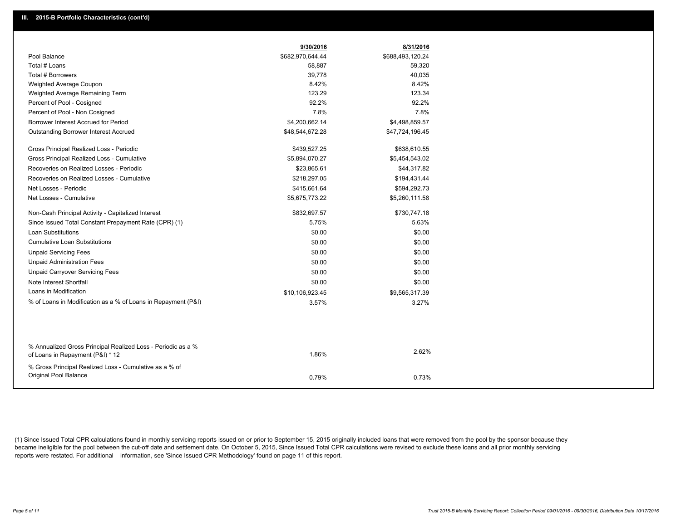|                                                               | 9/30/2016        | 8/31/2016        |
|---------------------------------------------------------------|------------------|------------------|
| Pool Balance                                                  | \$682,970,644.44 | \$688,493,120.24 |
| Total # Loans                                                 | 58,887           | 59,320           |
| Total # Borrowers                                             | 39,778           | 40,035           |
| Weighted Average Coupon                                       | 8.42%            | 8.42%            |
| Weighted Average Remaining Term                               | 123.29           | 123.34           |
| Percent of Pool - Cosigned                                    | 92.2%            | 92.2%            |
| Percent of Pool - Non Cosigned                                | 7.8%             | 7.8%             |
| Borrower Interest Accrued for Period                          | \$4,200,662.14   | \$4,498,859.57   |
| Outstanding Borrower Interest Accrued                         | \$48,544,672.28  | \$47,724,196.45  |
| Gross Principal Realized Loss - Periodic                      | \$439,527.25     | \$638,610.55     |
| Gross Principal Realized Loss - Cumulative                    | \$5,894,070.27   | \$5,454,543.02   |
| Recoveries on Realized Losses - Periodic                      | \$23,865.61      | \$44,317.82      |
| Recoveries on Realized Losses - Cumulative                    | \$218,297.05     | \$194,431.44     |
| Net Losses - Periodic                                         | \$415,661.64     | \$594,292.73     |
| Net Losses - Cumulative                                       | \$5,675,773.22   | \$5,260,111.58   |
| Non-Cash Principal Activity - Capitalized Interest            | \$832,697.57     | \$730,747.18     |
| Since Issued Total Constant Prepayment Rate (CPR) (1)         | 5.75%            | 5.63%            |
| <b>Loan Substitutions</b>                                     | \$0.00           | \$0.00           |
| <b>Cumulative Loan Substitutions</b>                          | \$0.00           | \$0.00           |
| <b>Unpaid Servicing Fees</b>                                  | \$0.00           | \$0.00           |
| <b>Unpaid Administration Fees</b>                             | \$0.00           | \$0.00           |
| <b>Unpaid Carryover Servicing Fees</b>                        | \$0.00           | \$0.00           |
| Note Interest Shortfall                                       | \$0.00           | \$0.00           |
| Loans in Modification                                         | \$10,106,923.45  | \$9,565,317.39   |
| % of Loans in Modification as a % of Loans in Repayment (P&I) | 3.57%            | 3.27%            |
|                                                               |                  |                  |
| % Annualized Gross Principal Realized Loss - Periodic as a %  |                  | 2.62%            |
| of Loans in Repayment (P&I) * 12                              | 1.86%            |                  |
| % Gross Principal Realized Loss - Cumulative as a % of        |                  |                  |
| Original Pool Balance                                         | 0.79%            | 0.73%            |

(1) Since Issued Total CPR calculations found in monthly servicing reports issued on or prior to September 15, 2015 originally included loans that were removed from the pool by the sponsor because they became ineligible for the pool between the cut-off date and settlement date. On October 5, 2015, Since Issued Total CPR calculations were revised to exclude these loans and all prior monthly servicing reports were restated. For additional information, see 'Since Issued CPR Methodology' found on page 11 of this report.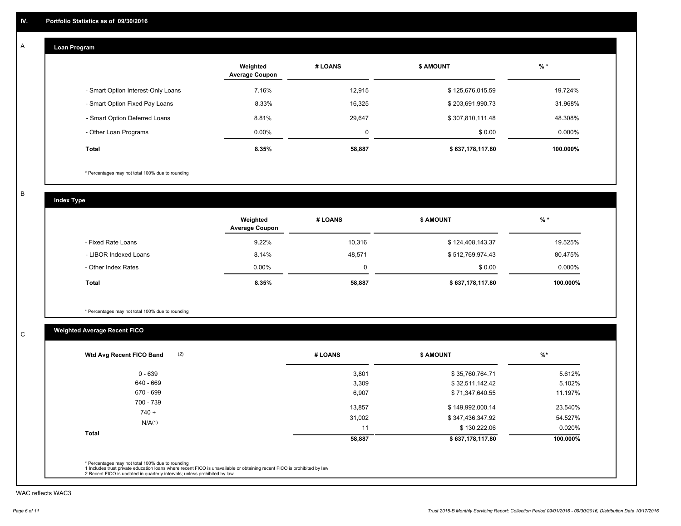#### **Loan Program**  A

|                                    | Weighted<br><b>Average Coupon</b> | # LOANS | <b>\$ AMOUNT</b> | $%$ *     |
|------------------------------------|-----------------------------------|---------|------------------|-----------|
| - Smart Option Interest-Only Loans | 7.16%                             | 12,915  | \$125,676,015.59 | 19.724%   |
| - Smart Option Fixed Pay Loans     | 8.33%                             | 16,325  | \$203,691,990.73 | 31.968%   |
| - Smart Option Deferred Loans      | 8.81%                             | 29.647  | \$307,810,111.48 | 48.308%   |
| - Other Loan Programs              | $0.00\%$                          | 0       | \$0.00           | $0.000\%$ |
| <b>Total</b>                       | 8.35%                             | 58,887  | \$637,178,117.80 | 100.000%  |

\* Percentages may not total 100% due to rounding

B

C

**Index Type**

|                       | Weighted<br><b>Average Coupon</b> | # LOANS | <b>\$ AMOUNT</b> | $%$ *    |
|-----------------------|-----------------------------------|---------|------------------|----------|
| - Fixed Rate Loans    | 9.22%                             | 10,316  | \$124,408,143.37 | 19.525%  |
| - LIBOR Indexed Loans | 8.14%                             | 48.571  | \$512,769,974.43 | 80.475%  |
| - Other Index Rates   | $0.00\%$                          | 0       | \$0.00           | 0.000%   |
| <b>Total</b>          | 8.35%                             | 58,887  | \$637,178,117.80 | 100.000% |

\* Percentages may not total 100% due to rounding

## **Weighted Average Recent FICO**

| $0 - 639$            | 3,801  | \$35,760,764.71  | 5.612%   |
|----------------------|--------|------------------|----------|
| 640 - 669            | 3,309  | \$32,511,142.42  | 5.102%   |
| 670 - 699            | 6,907  | \$71,347,640.55  | 11.197%  |
| 700 - 739<br>$740 +$ | 13,857 | \$149,992,000.14 | 23.540%  |
|                      | 31,002 | \$347,436,347.92 | 54.527%  |
| N/A(1)               | 11     | \$130,222.06     | 0.020%   |
| <b>Total</b>         | 58,887 | \$637,178,117.80 | 100.000% |

WAC reflects WAC3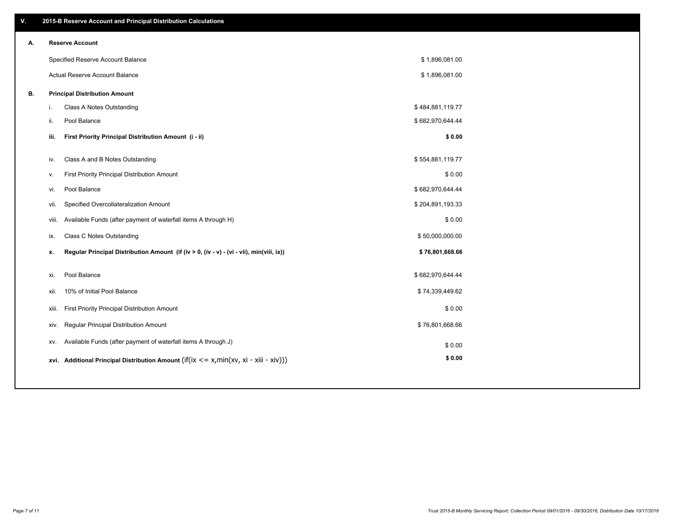| ۷. |      | 2015-B Reserve Account and Principal Distribution Calculations                             |                  |  |
|----|------|--------------------------------------------------------------------------------------------|------------------|--|
| А. |      | <b>Reserve Account</b>                                                                     |                  |  |
|    |      | Specified Reserve Account Balance                                                          | \$1,896,081.00   |  |
|    |      | Actual Reserve Account Balance                                                             | \$1,896,081.00   |  |
| В. |      | <b>Principal Distribution Amount</b>                                                       |                  |  |
|    | i.   | Class A Notes Outstanding                                                                  | \$484,881,119.77 |  |
|    | ii.  | Pool Balance                                                                               | \$682,970,644.44 |  |
|    | iii. | First Priority Principal Distribution Amount (i - ii)                                      | \$0.00           |  |
|    |      |                                                                                            |                  |  |
|    | iv.  | Class A and B Notes Outstanding                                                            | \$554,881,119.77 |  |
|    | v.   | First Priority Principal Distribution Amount                                               | \$0.00           |  |
|    | vi.  | Pool Balance                                                                               | \$682,970,644.44 |  |
|    | vii. | Specified Overcollateralization Amount                                                     | \$204,891,193.33 |  |
|    |      | Available Funds (after payment of waterfall items A through H)<br>viii.                    | \$0.00           |  |
|    | ix.  | <b>Class C Notes Outstanding</b>                                                           | \$50,000,000.00  |  |
|    | х.   | Regular Principal Distribution Amount (if (iv > 0, (iv - v) - (vi - vii), min(viii, ix))   | \$76,801,668.66  |  |
|    |      |                                                                                            |                  |  |
|    | xi.  | Pool Balance                                                                               | \$682,970,644.44 |  |
|    | xii. | 10% of Initial Pool Balance                                                                | \$74,339,449.62  |  |
|    |      | First Priority Principal Distribution Amount<br>xiii.                                      | \$0.00           |  |
|    |      | <b>Regular Principal Distribution Amount</b><br>xiv.                                       | \$76,801,668.66  |  |
|    |      | Available Funds (after payment of waterfall items A through J)<br>XV.                      | \$0.00           |  |
|    |      | xvi. Additional Principal Distribution Amount (if(ix $\lt$ = x, min(xv, xi - xiii - xiv))) | \$0.00           |  |
|    |      |                                                                                            |                  |  |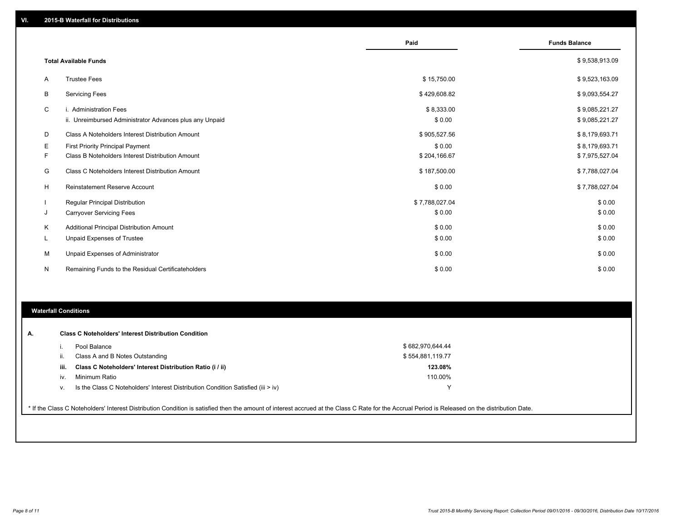|              |                                                         | Paid           | <b>Funds Balance</b> |
|--------------|---------------------------------------------------------|----------------|----------------------|
|              | <b>Total Available Funds</b>                            |                | \$9,538,913.09       |
| A            | <b>Trustee Fees</b>                                     | \$15,750.00    | \$9,523,163.09       |
| B            | <b>Servicing Fees</b>                                   | \$429,608.82   | \$9,093,554.27       |
| C            | i. Administration Fees                                  | \$8,333.00     | \$9,085,221.27       |
|              | ii. Unreimbursed Administrator Advances plus any Unpaid | \$0.00         | \$9,085,221.27       |
| D            | Class A Noteholders Interest Distribution Amount        | \$905,527.56   | \$8,179,693.71       |
| Е            | First Priority Principal Payment                        | \$0.00         | \$8,179,693.71       |
| F            | Class B Noteholders Interest Distribution Amount        | \$204,166.67   | \$7,975,527.04       |
| G            | Class C Noteholders Interest Distribution Amount        | \$187,500.00   | \$7,788,027.04       |
| H            | <b>Reinstatement Reserve Account</b>                    | \$0.00         | \$7,788,027.04       |
|              | Regular Principal Distribution                          | \$7,788,027.04 | \$0.00               |
| J            | <b>Carryover Servicing Fees</b>                         | \$0.00         | \$0.00               |
| Κ            | Additional Principal Distribution Amount                | \$0.00         | \$0.00               |
| L.           | <b>Unpaid Expenses of Trustee</b>                       | \$0.00         | \$0.00               |
| M            | Unpaid Expenses of Administrator                        | \$0.00         | \$0.00               |
| $\mathsf{N}$ | Remaining Funds to the Residual Certificateholders      | \$0.00         | \$0.00               |

#### **Waterfall Conditions**

|      | Pool Balance                                                                     | \$682,970,644.44 |  |
|------|----------------------------------------------------------------------------------|------------------|--|
|      | Class A and B Notes Outstanding                                                  | \$554,881,119.77 |  |
| iii. | Class C Noteholders' Interest Distribution Ratio (i / ii)                        | 123.08%          |  |
| iv.  | Minimum Ratio                                                                    | 110.00%          |  |
| v.   | Is the Class C Noteholders' Interest Distribution Condition Satisfied (iii > iv) |                  |  |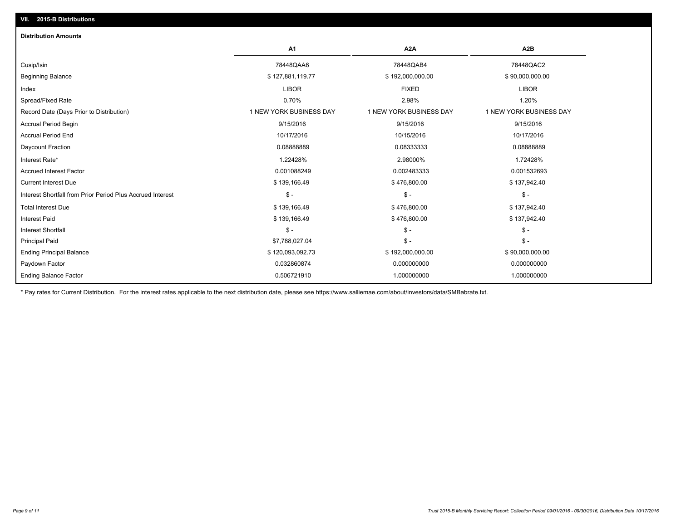| <b>Distribution Amounts</b>                                |                         |                         |                         |
|------------------------------------------------------------|-------------------------|-------------------------|-------------------------|
|                                                            | A <sub>1</sub>          | A2A                     | A2B                     |
| Cusip/Isin                                                 | 78448QAA6               | 78448QAB4               | 78448QAC2               |
| <b>Beginning Balance</b>                                   | \$127,881,119.77        | \$192,000,000.00        | \$90,000,000.00         |
| Index                                                      | <b>LIBOR</b>            | <b>FIXED</b>            | <b>LIBOR</b>            |
| Spread/Fixed Rate                                          | 0.70%                   | 2.98%                   | 1.20%                   |
| Record Date (Days Prior to Distribution)                   | 1 NEW YORK BUSINESS DAY | 1 NEW YORK BUSINESS DAY | 1 NEW YORK BUSINESS DAY |
| <b>Accrual Period Begin</b>                                | 9/15/2016               | 9/15/2016               | 9/15/2016               |
| <b>Accrual Period End</b>                                  | 10/17/2016              | 10/15/2016              | 10/17/2016              |
| Daycount Fraction                                          | 0.0888889               | 0.08333333              | 0.08888889              |
| Interest Rate*                                             | 1.22428%                | 2.98000%                | 1.72428%                |
| <b>Accrued Interest Factor</b>                             | 0.001088249             | 0.002483333             | 0.001532693             |
| <b>Current Interest Due</b>                                | \$139,166.49            | \$476,800.00            | \$137,942.40            |
| Interest Shortfall from Prior Period Plus Accrued Interest | $\mathsf{\$}$ -         | $\frac{2}{3}$ -         | $\mathsf{\$}$ -         |
| <b>Total Interest Due</b>                                  | \$139,166.49            | \$476,800.00            | \$137,942.40            |
| <b>Interest Paid</b>                                       | \$139,166.49            | \$476,800.00            | \$137,942.40            |
| <b>Interest Shortfall</b>                                  | $\mathsf{\$}$ -         | $\frac{1}{2}$           | $\frac{2}{3}$ -         |
| <b>Principal Paid</b>                                      | \$7,788,027.04          | $\frac{2}{3}$ -         | $\mathsf{\$}$ -         |
| <b>Ending Principal Balance</b>                            | \$120,093,092.73        | \$192,000,000.00        | \$90,000,000.00         |
| Paydown Factor                                             | 0.032860874             | 0.000000000             | 0.000000000             |
| <b>Ending Balance Factor</b>                               | 0.506721910             | 1.000000000             | 1.000000000             |

\* Pay rates for Current Distribution. For the interest rates applicable to the next distribution date, please see https://www.salliemae.com/about/investors/data/SMBabrate.txt.

**VII. 2015-B Distributions**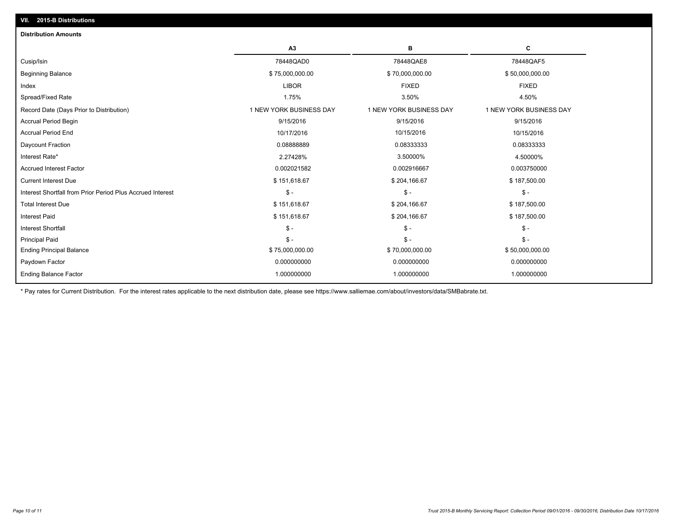| <b>Distribution Amounts</b>                                |                         |                         |                         |
|------------------------------------------------------------|-------------------------|-------------------------|-------------------------|
|                                                            | A3                      | в                       | С                       |
| Cusip/Isin                                                 | 78448QAD0               | 78448QAE8               | 78448QAF5               |
| <b>Beginning Balance</b>                                   | \$75,000,000.00         | \$70,000,000.00         | \$50,000,000.00         |
| Index                                                      | <b>LIBOR</b>            | <b>FIXED</b>            | <b>FIXED</b>            |
| Spread/Fixed Rate                                          | 1.75%                   | 3.50%                   | 4.50%                   |
| Record Date (Days Prior to Distribution)                   | 1 NEW YORK BUSINESS DAY | 1 NEW YORK BUSINESS DAY | 1 NEW YORK BUSINESS DAY |
| <b>Accrual Period Begin</b>                                | 9/15/2016               | 9/15/2016               | 9/15/2016               |
| <b>Accrual Period End</b>                                  | 10/17/2016              | 10/15/2016              | 10/15/2016              |
| Daycount Fraction                                          | 0.0888889               | 0.08333333              | 0.08333333              |
| Interest Rate*                                             | 2.27428%                | 3.50000%                | 4.50000%                |
| <b>Accrued Interest Factor</b>                             | 0.002021582             | 0.002916667             | 0.003750000             |
| <b>Current Interest Due</b>                                | \$151,618.67            | \$204,166.67            | \$187,500.00            |
| Interest Shortfall from Prior Period Plus Accrued Interest | $S -$                   | $\mathsf{\$}$ -         | $\mathsf{\$}$ -         |
| <b>Total Interest Due</b>                                  | \$151,618.67            | \$204,166.67            | \$187,500.00            |
| <b>Interest Paid</b>                                       | \$151,618.67            | \$204,166.67            | \$187,500.00            |
| <b>Interest Shortfall</b>                                  | $S -$                   | $\mathsf{\$}$ -         | $\mathsf{\$}$ -         |
| <b>Principal Paid</b>                                      | $S -$                   | $\mathsf{\$}$ -         | $\mathsf{\$}$ -         |
| <b>Ending Principal Balance</b>                            | \$75,000,000.00         | \$70,000,000.00         | \$50,000,000.00         |
| Paydown Factor                                             | 0.000000000             | 0.000000000             | 0.000000000             |
| <b>Ending Balance Factor</b>                               | 1.000000000             | 1.000000000             | 1.000000000             |
|                                                            |                         |                         |                         |

\* Pay rates for Current Distribution. For the interest rates applicable to the next distribution date, please see https://www.salliemae.com/about/investors/data/SMBabrate.txt.

**VII. 2015-B Distributions**